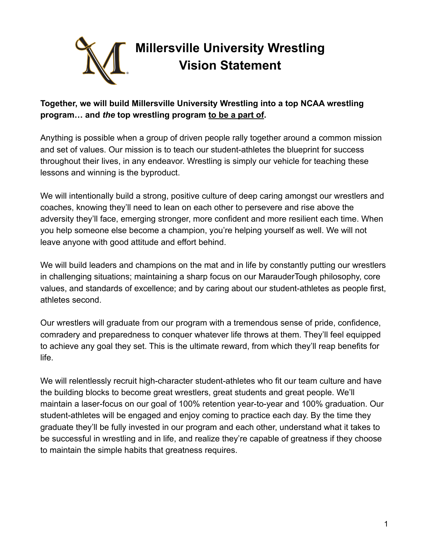

# **Together, we will build Millersville University Wrestling into a top NCAA wrestling program… and** *the* **top wrestling program to be a part of.**

Anything is possible when a group of driven people rally together around a common mission and set of values. Our mission is to teach our student-athletes the blueprint for success throughout their lives, in any endeavor. Wrestling is simply our vehicle for teaching these lessons and winning is the byproduct.

We will intentionally build a strong, positive culture of deep caring amongst our wrestlers and coaches, knowing they'll need to lean on each other to persevere and rise above the adversity they'll face, emerging stronger, more confident and more resilient each time. When you help someone else become a champion, you're helping yourself as well. We will not leave anyone with good attitude and effort behind.

We will build leaders and champions on the mat and in life by constantly putting our wrestlers in challenging situations; maintaining a sharp focus on our MarauderTough philosophy, core values, and standards of excellence; and by caring about our student-athletes as people first, athletes second.

Our wrestlers will graduate from our program with a tremendous sense of pride, confidence, comradery and preparedness to conquer whatever life throws at them. They'll feel equipped to achieve any goal they set. This is the ultimate reward, from which they'll reap benefits for life.

We will relentlessly recruit high-character student-athletes who fit our team culture and have the building blocks to become great wrestlers, great students and great people. We'll maintain a laser-focus on our goal of 100% retention year-to-year and 100% graduation. Our student-athletes will be engaged and enjoy coming to practice each day. By the time they graduate they'll be fully invested in our program and each other, understand what it takes to be successful in wrestling and in life, and realize they're capable of greatness if they choose to maintain the simple habits that greatness requires.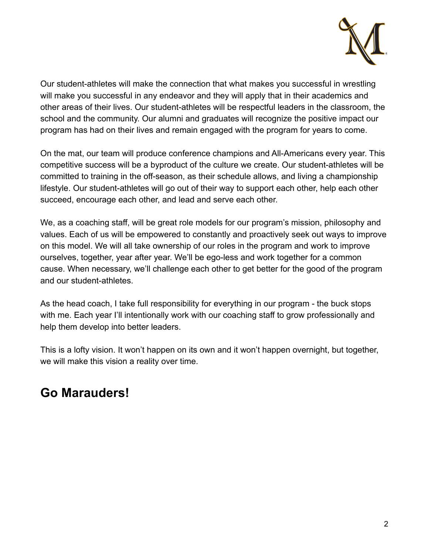

Our student-athletes will make the connection that what makes you successful in wrestling will make you successful in any endeavor and they will apply that in their academics and other areas of their lives. Our student-athletes will be respectful leaders in the classroom, the school and the community. Our alumni and graduates will recognize the positive impact our program has had on their lives and remain engaged with the program for years to come.

On the mat, our team will produce conference champions and All-Americans every year. This competitive success will be a byproduct of the culture we create. Our student-athletes will be committed to training in the off-season, as their schedule allows, and living a championship lifestyle. Our student-athletes will go out of their way to support each other, help each other succeed, encourage each other, and lead and serve each other.

We, as a coaching staff, will be great role models for our program's mission, philosophy and values. Each of us will be empowered to constantly and proactively seek out ways to improve on this model. We will all take ownership of our roles in the program and work to improve ourselves, together, year after year. We'll be ego-less and work together for a common cause. When necessary, we'll challenge each other to get better for the good of the program and our student-athletes.

As the head coach, I take full responsibility for everything in our program - the buck stops with me. Each year I'll intentionally work with our coaching staff to grow professionally and help them develop into better leaders.

This is a lofty vision. It won't happen on its own and it won't happen overnight, but together, we will make this vision a reality over time.

# **Go Marauders!**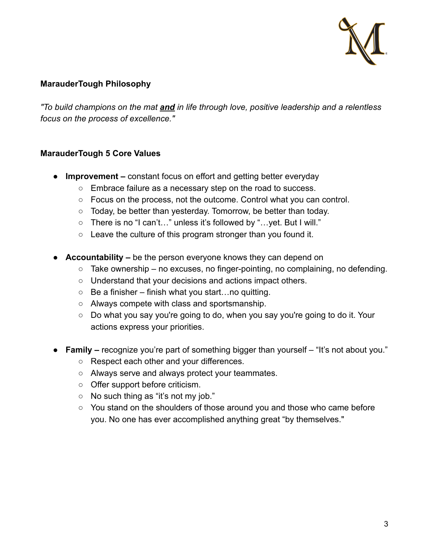

## **MarauderTough Philosophy**

*"To build champions on the mat and in life through love, positive leadership and a relentless focus on the process of excellence."*

### **MarauderTough 5 Core Values**

- **● Improvement –** constant focus on effort and getting better everyday
	- Embrace failure as a necessary step on the road to success.
	- $\circ$  Focus on the process, not the outcome. Control what you can control.
	- Today, be better than yesterday. Tomorrow, be better than today.
	- There is no "I can't…" unless it's followed by "…yet. But I will."
	- $\circ$  Leave the culture of this program stronger than you found it.
- **● Accountability –** be the person everyone knows they can depend on
	- $\circ$  Take ownership no excuses, no finger-pointing, no complaining, no defending.
	- Understand that your decisions and actions impact others.
	- $\circ$  Be a finisher finish what you start... no quitting.
	- Always compete with class and sportsmanship.
	- Do what you say you're going to do, when you say you're going to do it. Your actions express your priorities.
- **● Family –** recognize you're part of something bigger than yourself "It's not about you."
	- Respect each other and your differences.
	- Always serve and always protect your teammates.
	- Offer support before criticism.
	- No such thing as "it's not my job."
	- You stand on the shoulders of those around you and those who came before you. No one has ever accomplished anything great "by themselves."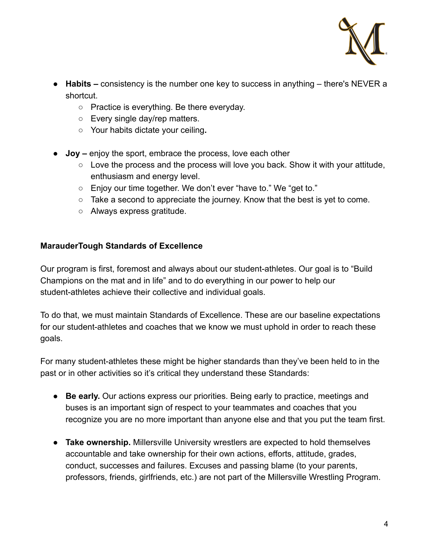

- **● Habits –** consistency is the number one key to success in anything there's NEVER a shortcut.
	- Practice is everything. Be there everyday.
	- Every single day/rep matters.
	- **○** Your habits dictate your ceiling**.**
- **● Joy –** enjoy the sport, embrace the process, love each other
	- $\circ$  Love the process and the process will love you back. Show it with your attitude, enthusiasm and energy level.
	- Enjoy our time together. We don't ever "have to." We "get to."
	- $\circ$  Take a second to appreciate the journey. Know that the best is yet to come.
	- Always express gratitude.

### **MarauderTough Standards of Excellence**

Our program is first, foremost and always about our student-athletes. Our goal is to "Build Champions on the mat and in life" and to do everything in our power to help our student-athletes achieve their collective and individual goals.

To do that, we must maintain Standards of Excellence. These are our baseline expectations for our student-athletes and coaches that we know we must uphold in order to reach these goals.

For many student-athletes these might be higher standards than they've been held to in the past or in other activities so it's critical they understand these Standards:

- **Be early.** Our actions express our priorities. Being early to practice, meetings and buses is an important sign of respect to your teammates and coaches that you recognize you are no more important than anyone else and that you put the team first.
- **Take ownership.** Millersville University wrestlers are expected to hold themselves accountable and take ownership for their own actions, efforts, attitude, grades, conduct, successes and failures. Excuses and passing blame (to your parents, professors, friends, girlfriends, etc.) are not part of the Millersville Wrestling Program.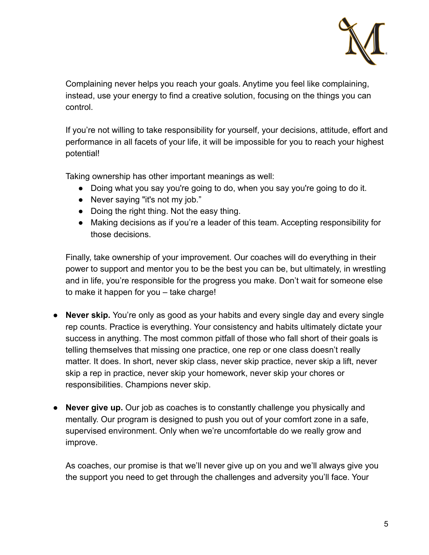

Complaining never helps you reach your goals. Anytime you feel like complaining, instead, use your energy to find a creative solution, focusing on the things you can control.

If you're not willing to take responsibility for yourself, your decisions, attitude, effort and performance in all facets of your life, it will be impossible for you to reach your highest potential!

Taking ownership has other important meanings as well:

- Doing what you say you're going to do, when you say you're going to do it.
- Never saying "it's not my job."
- Doing the right thing. Not the easy thing.
- Making decisions as if you're a leader of this team. Accepting responsibility for those decisions.

Finally, take ownership of your improvement. Our coaches will do everything in their power to support and mentor you to be the best you can be, but ultimately, in wrestling and in life, you're responsible for the progress you make. Don't wait for someone else to make it happen for you – take charge!

- **Never skip.** You're only as good as your habits and every single day and every single rep counts. Practice is everything. Your consistency and habits ultimately dictate your success in anything. The most common pitfall of those who fall short of their goals is telling themselves that missing one practice, one rep or one class doesn't really matter. It does. In short, never skip class, never skip practice, never skip a lift, never skip a rep in practice, never skip your homework, never skip your chores or responsibilities. Champions never skip.
- **Never give up.** Our job as coaches is to constantly challenge you physically and mentally. Our program is designed to push you out of your comfort zone in a safe, supervised environment. Only when we're uncomfortable do we really grow and improve.

As coaches, our promise is that we'll never give up on you and we'll always give you the support you need to get through the challenges and adversity you'll face. Your